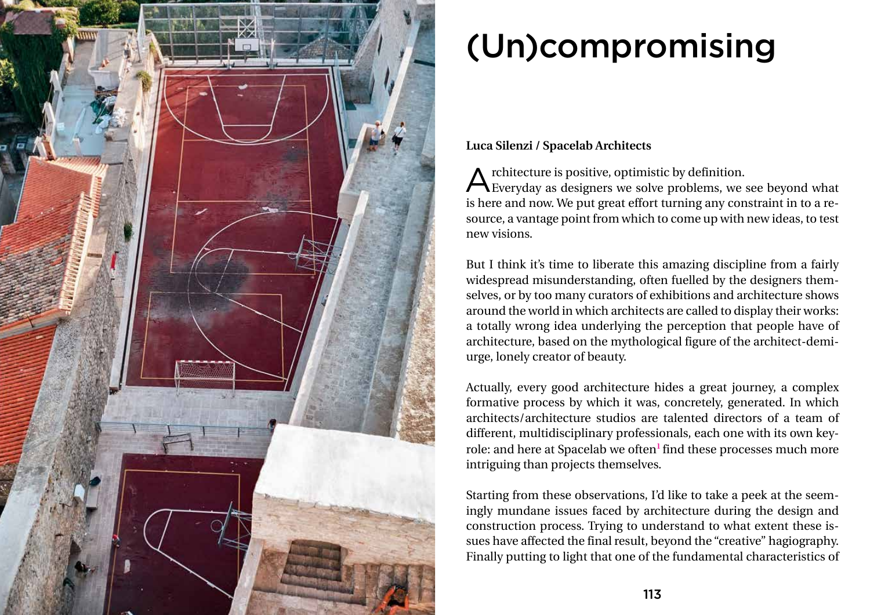

# (Un)compromising

# **Luca Silenzi / Spacelab Architects**

Architecture is positive, optimistic by definition. Everyday as designers we solve problems, we see beyond what is here and now. We put great effort turning any constraint in to a resource, a vantage point from which to come up with new ideas, to test new visions.

But I think it's time to liberate this amazing discipline from a fairly widespread misunderstanding, often fuelled by the designers themselves, or by too many curators of exhibitions and architecture shows around the world in which architects are called to display their works: a totally wrong idea underlying the perception that people have of architecture, based on the mythological figure of the architect-demiurge, lonely creator of beauty.

Actually, every good architecture hides a great journey, a complex formative process by which it was, concretely, generated. In which architects/architecture studios are talented directors of a team of different, multidisciplinary professionals, each one with its own keyrole: and here at Spacelab we often<sup>1</sup> find these processes much more intriguing than projects themselves.

Starting from these observations, I'd like to take a peek at the seemingly mundane issues faced by architecture during the design and construction process. Trying to understand to what extent these issues have affected the final result, beyond the "creative" hagiography. Finally putting to light that one of the fundamental characteristics of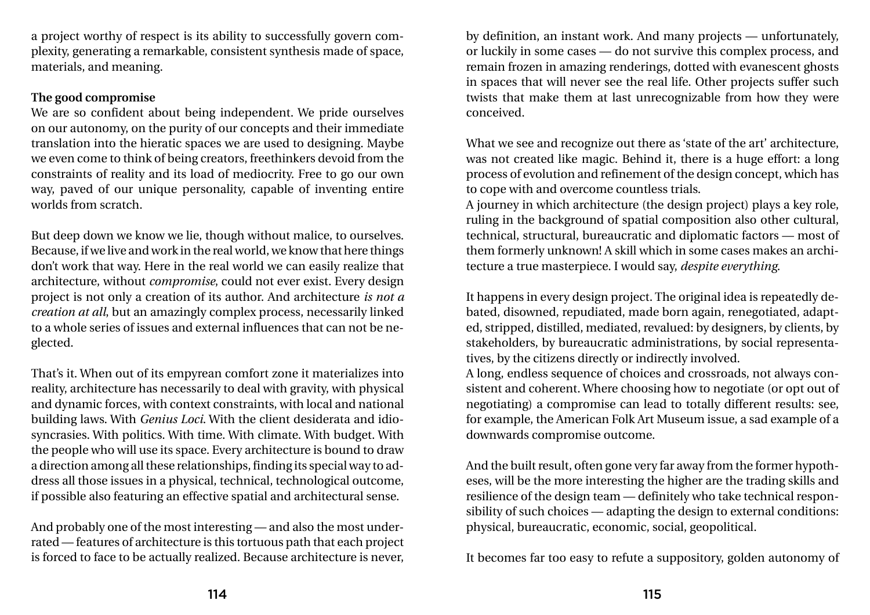a project worthy of respect is its ability to successfully govern complexity, generating a remarkable, consistent synthesis made of space, materials, and meaning.

# **The good compromise**

We are so confident about being independent. We pride ourselves on our autonomy, on the purity of our concepts and their immediate translation into the hieratic spaces we are used to designing. Maybe we even come to think of being creators, freethinkers devoid from the constraints of reality and its load of mediocrity. Free to go our own way, paved of our unique personality, capable of inventing entire worlds from scratch.

But deep down we know we lie, though without malice, to ourselves. Because, if we live and work in the real world, we know that here things don't work that way. Here in the real world we can easily realize that architecture, without *compromise*, could not ever exist. Every design project is not only a creation of its author. And architecture *is not a creation at all*, but an amazingly complex process, necessarily linked to a whole series of issues and external influences that can not be neglected.

That's it. When out of its empyrean comfort zone it materializes into reality, architecture has necessarily to deal with gravity, with physical and dynamic forces, with context constraints, with local and national building laws. With *Genius Loci*. With the client desiderata and idiosyncrasies. With politics. With time. With climate. With budget. With the people who will use its space. Every architecture is bound to draw a direction among all these relationships, finding its special way to address all those issues in a physical, technical, technological outcome, if possible also featuring an effective spatial and architectural sense.

And probably one of the most interesting — and also the most underrated — features of architecture is this tortuous path that each project is forced to face to be actually realized. Because architecture is never,

by definition, an instant work. And many projects — unfortunately, or luckily in some cases — do not survive this complex process, and remain frozen in amazing renderings, dotted with evanescent ghosts in spaces that will never see the real life. Other projects suffer such twists that make them at last unrecognizable from how they were conceived.

What we see and recognize out there as 'state of the art' architecture, was not created like magic. Behind it, there is a huge effort: a long process of evolution and refinement of the design concept, which has to cope with and overcome countless trials. A journey in which architecture (the design project) plays a key role, ruling in the background of spatial composition also other cultural, technical, structural, bureaucratic and diplomatic factors — most of them formerly unknown! A skill which in some cases makes an architecture a true masterpiece. I would say, *despite everything*.

It happens in every design project. The original idea is repeatedly debated, disowned, repudiated, made born again, renegotiated, adapted, stripped, distilled, mediated, revalued: by designers, by clients, by stakeholders, by bureaucratic administrations, by social representatives, by the citizens directly or indirectly involved. A long, endless sequence of choices and crossroads, not always consistent and coherent. Where choosing how to negotiate (or opt out of negotiating) a compromise can lead to totally different results: see, for example, the American Folk Art Museum issue, a sad example of a downwards compromise outcome.

And the built result, often gone very far away from the former hypotheses, will be the more interesting the higher are the trading skills and resilience of the design team — definitely who take technical responsibility of such choices — adapting the design to external conditions: physical, bureaucratic, economic, social, geopolitical.

It becomes far too easy to refute a suppository, golden autonomy of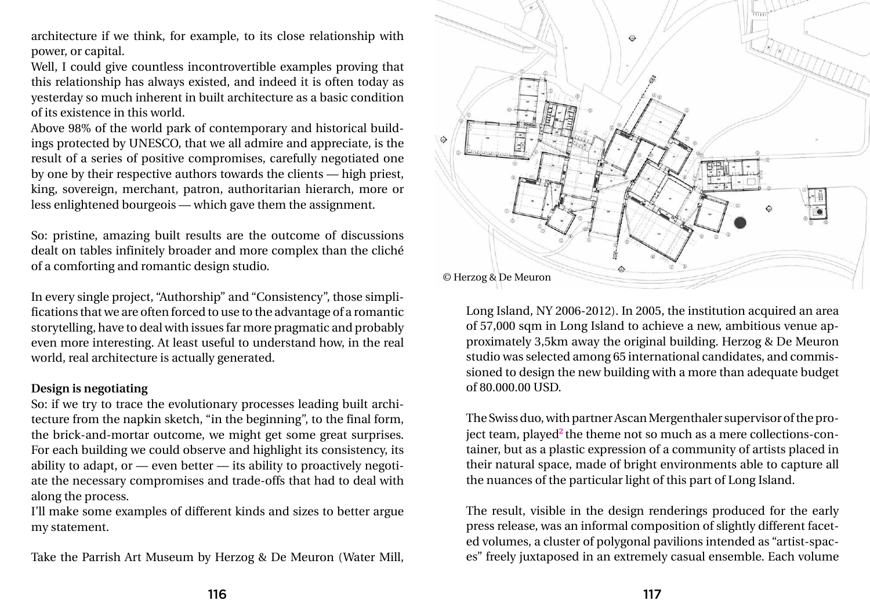architecture if we think, for example, to its close relationship with power, or capital.

Well, I could give countless incontrovertible examples proving that this relationship has always existed, and indeed it is often today as yesterday so much inherent in built architecture as a basic condition of its existence in this world.

Above 98% of the world park of contemporary and historical buildings protected by UNESCO, that we all admire and appreciate, is the result of a series of positive compromises, carefully negotiated one by one by their respective authors towards the clients — high priest, king, sovereign, merchant, patron, authoritarian hierarch, more or less enlightened bourgeois — which gave them the assignment.

So: pristine, amazing built results are the outcome of discussions dealt on tables infinitely broader and more complex than the cliché of a comforting and romantic design studio.

In every single project, "Authorship" and "Consistency", those simplifications that we are often forced to use to the advantage of a romantic storytelling, have to deal with issues far more pragmatic and probably even more interesting. At least useful to understand how, in the real world, real architecture is actually generated.

## **Design is negotiating**

So: if we try to trace the evolutionary processes leading built architecture from the napkin sketch, "in the beginning", to the final form, the brick-and-mortar outcome, we might get some great surprises. For each building we could observe and highlight its consistency, its ability to adapt, or — even better — its ability to proactively negotiate the necessary compromises and trade-offs that had to deal with along the process.

I'll make some examples of different kinds and sizes to better argue my statement.

Take the Parrish Art Museum by Herzog & De Meuron (Water Mill,

Long Island, NY 2006-2012). In 2005, the institution acquired an area of 57,000 sqm in Long Island to achieve a new, ambitious venue approximately 3,5km away the original building. Herzog & De Meuron studio was selected among 65 international candidates, and commissioned to design the new building with a more than adequate budget of 80.000.00 USD.

The Swiss duo, with partner Ascan Mergenthaler supervisor of the project team, played**2** the theme not so much as a mere collections-container, but as a plastic expression of a community of artists placed in their natural space, made of bright environments able to capture all the nuances of the particular light of this part of Long Island.

The result, visible in the design renderings produced for the early press release, was an informal composition of slightly different faceted volumes, a cluster of polygonal pavilions intended as "artist-spaces" freely juxtaposed in an extremely casual ensemble. Each volume

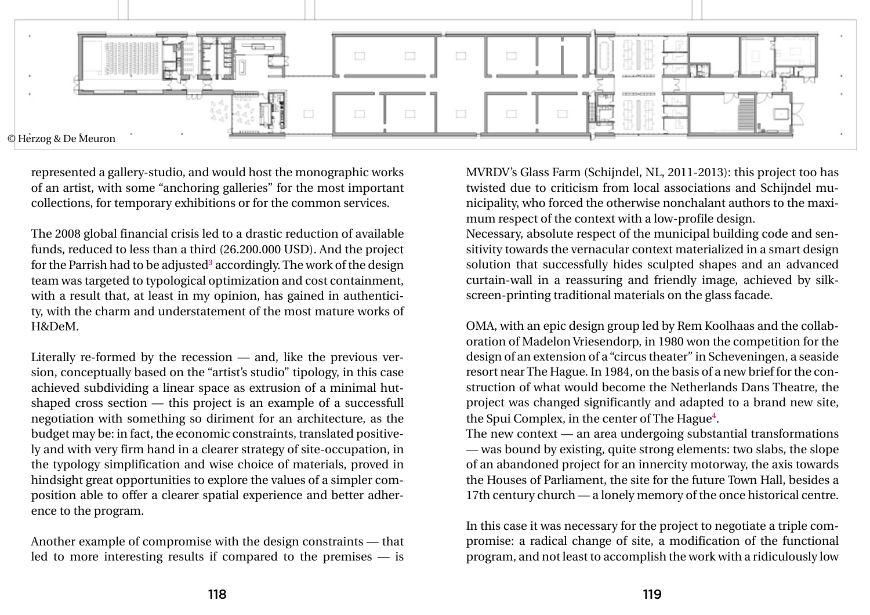represented a gallery-studio, and would host the monographic works of an artist, with some "anchoring galleries" for the most important collections, for temporary exhibitions or for the common services.

The 2008 global financial crisis led to a drastic reduction of available funds, reduced to less than a third (26.200.000 USD). And the project for the Parrish had to be adjusted**<sup>3</sup>** accordingly. The work of the design team was targeted to typological optimization and cost containment, with a result that, at least in my opinion, has gained in authenticity, with the charm and understatement of the most mature works of H&DeM.

Literally re-formed by the recession — and, like the previous version, conceptually based on the "artist's studio" tipology, in this case achieved subdividing a linear space as extrusion of a minimal hutshaped cross section — this project is an example of a successfull negotiation with something so diriment for an architecture, as the budget may be: in fact, the economic constraints, translated positively and with very firm hand in a clearer strategy of site-occupation, in the typology simplification and wise choice of materials, proved in hindsight great opportunities to explore the values of a simpler composition able to offer a clearer spatial experience and better adherence to the program.

Another example of compromise with the design constraints — that led to more interesting results if compared to the premises — is

MVRDV's Glass Farm (Schijndel, NL, 2011-2013): this project too has twisted due to criticism from local associations and Schijndel municipality, who forced the otherwise nonchalant authors to the maximum respect of the context with a low-profile design. Necessary, absolute respect of the municipal building code and sensitivity towards the vernacular context materialized in a smart design solution that successfully hides sculpted shapes and an advanced curtain-wall in a reassuring and friendly image, achieved by silkscreen-printing traditional materials on the glass facade.

OMA, with an epic design group led by Rem Koolhaas and the collaboration of Madelon Vriesendorp, in 1980 won the competition for the design of an extension of a "circus theater" in Scheveningen, a seaside resort near The Hague. In 1984, on the basis of a new brief for the construction of what would become the Netherlands Dans Theatre, the project was changed significantly and adapted to a brand new site, the Spui Complex, in the center of The Hague**<sup>4</sup>** . The new context — an area undergoing substantial transformations — was bound by existing, quite strong elements: two slabs, the slope of an abandoned project for an innercity motorway, the axis towards the Houses of Parliament, the site for the future Town Hall, besides a 17th century church — a lonely memory of the once historical centre.

In this case it was necessary for the project to negotiate a triple compromise: a radical change of site, a modification of the functional program, and not least to accomplish the work with a ridiculously low

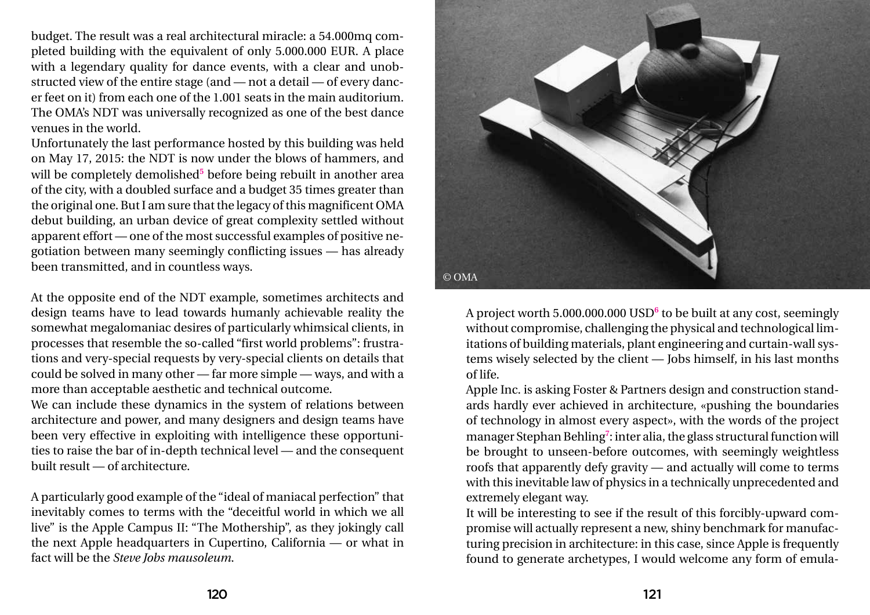budget. The result was a real architectural miracle: a 54.000mq completed building with the equivalent of only 5.000.000 EUR. A place with a legendary quality for dance events, with a clear and unobstructed view of the entire stage (and — not a detail — of every dancer feet on it) from each one of the 1.001 seats in the main auditorium. The OMA's NDT was universally recognized as one of the best dance venues in the world.

Unfortunately the last performance hosted by this building was held on May 17, 2015: the NDT is now under the blows of hammers, and will be completely demolished<sup>5</sup> before being rebuilt in another area of the city, with a doubled surface and a budget 35 times greater than the original one. But I am sure that the legacy of this magnificent OMA debut building, an urban device of great complexity settled without apparent effort — one of the most successful examples of positive negotiation between many seemingly conflicting issues — has already been transmitted, and in countless ways.

At the opposite end of the NDT example, sometimes architects and design teams have to lead towards humanly achievable reality the somewhat megalomaniac desires of particularly whimsical clients, in processes that resemble the so-called "first world problems": frustrations and very-special requests by very-special clients on details that could be solved in many other — far more simple — ways, and with a more than acceptable aesthetic and technical outcome.

We can include these dynamics in the system of relations between architecture and power, and many designers and design teams have been very effective in exploiting with intelligence these opportunities to raise the bar of in-depth technical level — and the consequent built result — of architecture.

A particularly good example of the "ideal of maniacal perfection" that inevitably comes to terms with the "deceitful world in which we all live" is the Apple Campus II: "The Mothership", as they jokingly call the next Apple headquarters in Cupertino, California — or what in fact will be the *Steve Jobs mausoleum*.

A project worth 5.000.000.000 USD**<sup>6</sup>** to be built at any cost, seemingly without compromise, challenging the physical and technological limitations of building materials, plant engineering and curtain-wall systems wisely selected by the client — Jobs himself, in his last months of life.

Apple Inc. is asking Foster & Partners design and construction standards hardly ever achieved in architecture, «pushing the boundaries of technology in almost every aspect», with the words of the project manager Stephan Behling**<sup>7</sup>** : inter alia, the glass structural function will be brought to unseen-before outcomes, with seemingly weightless roofs that apparently defy gravity — and actually will come to terms with this inevitable law of physics in a technically unprecedented and extremely elegant way.

It will be interesting to see if the result of this forcibly-upward compromise will actually represent a new, shiny benchmark for manufacturing precision in architecture: in this case, since Apple is frequently found to generate archetypes, I would welcome any form of emula-